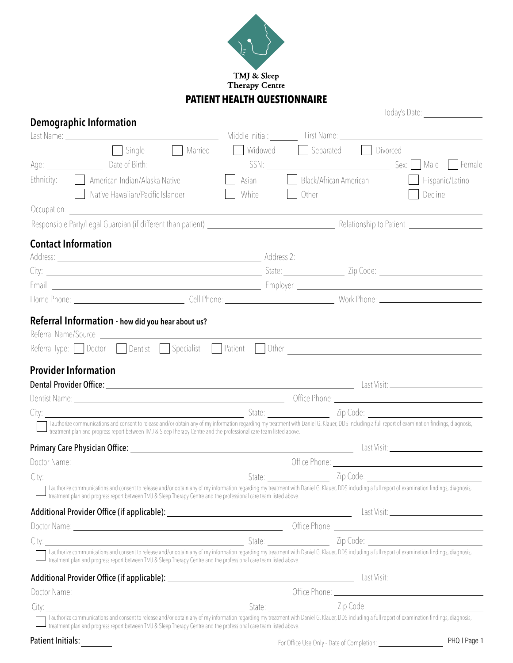

#### **PATIENT HEALTH QUESTIONNAIRE**

# **Demographic Information**<br> **Demographic Information**

| $\Box$ Single<br>Separated Divorced<br>Married<br>Widowed<br>Age: <u>Contract Date of Birth:</u><br>Ethnicity:<br>American Indian/Alaska Native<br>Black/African American<br>Asian                                                                                                                                          |                                               |
|-----------------------------------------------------------------------------------------------------------------------------------------------------------------------------------------------------------------------------------------------------------------------------------------------------------------------------|-----------------------------------------------|
|                                                                                                                                                                                                                                                                                                                             |                                               |
|                                                                                                                                                                                                                                                                                                                             |                                               |
|                                                                                                                                                                                                                                                                                                                             | Hispanic/Latino                               |
| Native Hawaiian/Pacific Islander<br>White<br>Other                                                                                                                                                                                                                                                                          | Decline                                       |
|                                                                                                                                                                                                                                                                                                                             |                                               |
|                                                                                                                                                                                                                                                                                                                             |                                               |
| <b>Contact Information</b>                                                                                                                                                                                                                                                                                                  |                                               |
|                                                                                                                                                                                                                                                                                                                             |                                               |
| City: 2ip Code: 2010 212 2ip Code: 212 2ip Code: 212 2ip Code: 212 2ip Code: 212 2ip Code: 212 2ip Code: 212 2ip Code: 212 2ip Code: 212 2ip Code: 212 2ip Code: 212 2ip Code: 212 2ip Code: 212 2ip Code: 212 2ip Code: 212 2                                                                                              |                                               |
|                                                                                                                                                                                                                                                                                                                             |                                               |
|                                                                                                                                                                                                                                                                                                                             |                                               |
| Referral Information - how did you hear about us?                                                                                                                                                                                                                                                                           |                                               |
|                                                                                                                                                                                                                                                                                                                             |                                               |
| Referral Type: Doctor Dentist Specialist Patient Other Communication and Dentisian Dentisient Dentisient Patient                                                                                                                                                                                                            |                                               |
|                                                                                                                                                                                                                                                                                                                             |                                               |
| <b>Provider Information</b>                                                                                                                                                                                                                                                                                                 |                                               |
|                                                                                                                                                                                                                                                                                                                             |                                               |
|                                                                                                                                                                                                                                                                                                                             |                                               |
| I authorize communications and consent to release and/or obtain any of my information regarding my treatment with Daniel G. Klauer, DDS including a full report of examination findings, diagnosis,                                                                                                                         |                                               |
| treatment plan and progress report between TMJ & Sleep Therapy Centre and the professional care team listed above.                                                                                                                                                                                                          |                                               |
|                                                                                                                                                                                                                                                                                                                             |                                               |
|                                                                                                                                                                                                                                                                                                                             |                                               |
|                                                                                                                                                                                                                                                                                                                             |                                               |
| I authorize communications and consent to release and/or obtain any of my information regarding my treatment with Daniel G. Klauer, DDS including a full report of examination findings, diagnosis,<br>treatment plan and progress report between TMJ & Sleep Therapy Centre and the professional care team listed above.   |                                               |
|                                                                                                                                                                                                                                                                                                                             | Last Visit: _________________________________ |
|                                                                                                                                                                                                                                                                                                                             |                                               |
|                                                                                                                                                                                                                                                                                                                             |                                               |
| I authorize communications and consent to release and/or obtain any of my information regarding my treatment with Daniel G. Klauer, DDS including a full report of examination findings, diagnosis,<br>I treatment plan and progress report between TMJ & Sleep Therapy Centre and the professional care team listed above. |                                               |
|                                                                                                                                                                                                                                                                                                                             |                                               |
|                                                                                                                                                                                                                                                                                                                             |                                               |
|                                                                                                                                                                                                                                                                                                                             |                                               |
|                                                                                                                                                                                                                                                                                                                             |                                               |
| I treatment plan and progress report between TMJ & Sleep Therapy Centre and the professional care team listed above.                                                                                                                                                                                                        |                                               |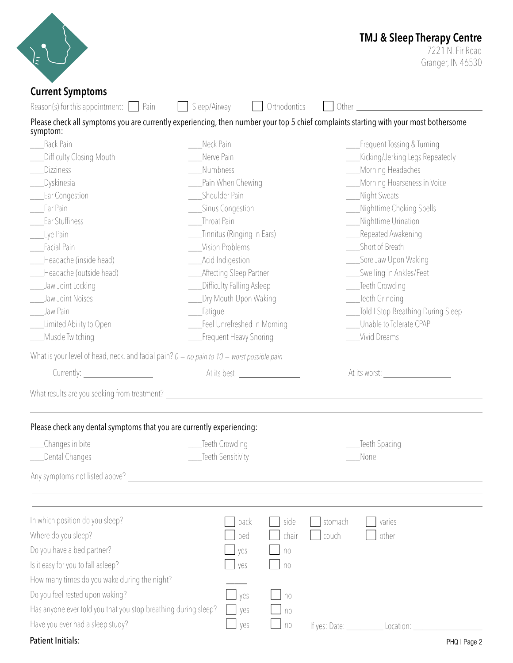|                                                                                                                                                                                                                                |                              | <b>TMJ &amp; Sleep Therapy Centre</b><br>7221 N. Fir Road                                                                                                                                                                      |
|--------------------------------------------------------------------------------------------------------------------------------------------------------------------------------------------------------------------------------|------------------------------|--------------------------------------------------------------------------------------------------------------------------------------------------------------------------------------------------------------------------------|
| $\overline{z}$                                                                                                                                                                                                                 |                              | Granger, IN 46530                                                                                                                                                                                                              |
| <b>Current Symptoms</b>                                                                                                                                                                                                        |                              |                                                                                                                                                                                                                                |
| Reason(s) for this appointment: $\Box$ Pain                                                                                                                                                                                    | Sleep/Airway<br>Orthodontics | Other contracts and the contracts of the contracts of the contracts of the contracts of the contracts of the contracts of the contracts of the contracts of the contracts of the contracts of the contracts of the contracts o |
| symptom:                                                                                                                                                                                                                       |                              | Please check all symptoms you are currently experiencing, then number your top 5 chief complaints starting with your most bothersome                                                                                           |
| <b>Back Pain</b>                                                                                                                                                                                                               | Neck Pain                    | Frequent Tossing & Turning                                                                                                                                                                                                     |
| Difficulty Closing Mouth                                                                                                                                                                                                       | Nerve Pain                   | Kicking/Jerking Legs Repeatedly                                                                                                                                                                                                |
| Dizziness                                                                                                                                                                                                                      | Numbness                     | Morning Headaches                                                                                                                                                                                                              |
| Dyskinesia                                                                                                                                                                                                                     | Pain When Chewing            | Morning Hoarseness in Voice                                                                                                                                                                                                    |
| Ear Congestion                                                                                                                                                                                                                 | Shoulder Pain                | Night Sweats                                                                                                                                                                                                                   |
| Ear Pain                                                                                                                                                                                                                       | _Sinus Congestion            | Nighttime Choking Spells                                                                                                                                                                                                       |
| Ear Stuffiness                                                                                                                                                                                                                 | <b>Throat Pain</b>           | Nighttime Urination                                                                                                                                                                                                            |
| Eye Pain                                                                                                                                                                                                                       | Tinnitus (Ringing in Ears)   | Repeated Awakening                                                                                                                                                                                                             |
| Facial Pain                                                                                                                                                                                                                    | Vision Problems              | Short of Breath                                                                                                                                                                                                                |
| Headache (inside head)                                                                                                                                                                                                         | Acid Indigestion             | Sore Jaw Upon Waking                                                                                                                                                                                                           |
| Headache (outside head)                                                                                                                                                                                                        | Affecting Sleep Partner      | Swelling in Ankles/Feet                                                                                                                                                                                                        |
| Jaw Joint Locking                                                                                                                                                                                                              | Difficulty Falling Asleep    | Teeth Crowding                                                                                                                                                                                                                 |
| Jaw Joint Noises                                                                                                                                                                                                               | Dry Mouth Upon Waking        | Teeth Grinding                                                                                                                                                                                                                 |
| Jaw Pain                                                                                                                                                                                                                       | Fatigue                      | Told I Stop Breathing During Sleep                                                                                                                                                                                             |
| Limited Ability to Open                                                                                                                                                                                                        | Feel Unrefreshed in Morning  | Unable to Tolerate CPAP                                                                                                                                                                                                        |
| Muscle Twitching                                                                                                                                                                                                               | Frequent Heavy Snoring       | Vivid Dreams                                                                                                                                                                                                                   |
| What is your level of head, neck, and facial pain? $0 = no$ pain to $10 =$ worst possible pain                                                                                                                                 |                              |                                                                                                                                                                                                                                |
| Currently: $\Box$                                                                                                                                                                                                              | At its best:                 | At its worst:                                                                                                                                                                                                                  |
| What results are you seeking from treatment? The state of the state of the state of the state of the state of the state of the state of the state of the state of the state of the state of the state of the state of the stat |                              |                                                                                                                                                                                                                                |
| Please check any dental symptoms that you are currently experiencing:                                                                                                                                                          |                              |                                                                                                                                                                                                                                |
| Changes in bite                                                                                                                                                                                                                | Teeth Crowding               | Teeth Spacing                                                                                                                                                                                                                  |
| Dental Changes                                                                                                                                                                                                                 | Teeth Sensitivity            | None                                                                                                                                                                                                                           |
|                                                                                                                                                                                                                                |                              |                                                                                                                                                                                                                                |
|                                                                                                                                                                                                                                |                              |                                                                                                                                                                                                                                |
| In which position do you sleep?                                                                                                                                                                                                | back<br>side                 | stomach<br>varies                                                                                                                                                                                                              |
| Where do you sleep?                                                                                                                                                                                                            | bed<br>chair                 | couch<br>other                                                                                                                                                                                                                 |
|                                                                                                                                                                                                                                | yes<br>n <sub>0</sub>        |                                                                                                                                                                                                                                |
|                                                                                                                                                                                                                                |                              |                                                                                                                                                                                                                                |
|                                                                                                                                                                                                                                | yes<br>n <sub>0</sub>        |                                                                                                                                                                                                                                |
|                                                                                                                                                                                                                                |                              |                                                                                                                                                                                                                                |
|                                                                                                                                                                                                                                | yes<br>no                    |                                                                                                                                                                                                                                |
| Do you have a bed partner?<br>Is it easy for you to fall asleep?<br>How many times do you wake during the night?<br>Do you feel rested upon waking?<br>Has anyone ever told you that you stop breathing during sleep?          | yes<br>no                    |                                                                                                                                                                                                                                |
| Have you ever had a sleep study?                                                                                                                                                                                               | yes<br>n <sub>0</sub>        | If yes: Date: Location:                                                                                                                                                                                                        |

| PHQ   Page 2 |  |
|--------------|--|
|--------------|--|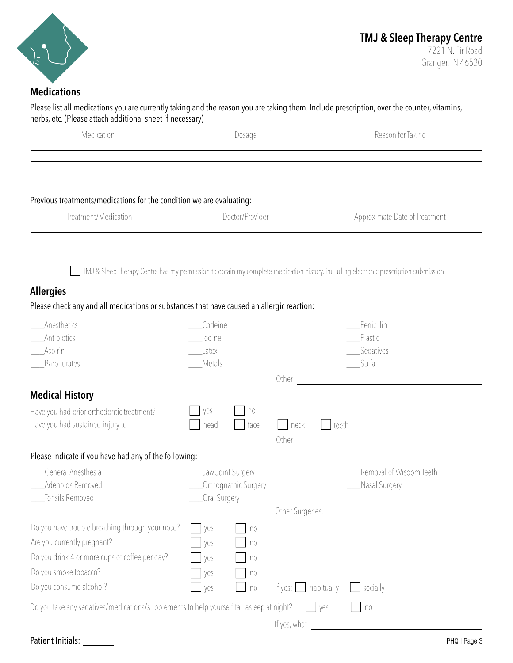

Granger, IN 46530

#### **Medications**

Please list all medications you are currently taking and the reason you are taking them. Include prescription, over the counter, vitamins, herbs, etc. (Please attach additional sheet if necessary)

| Medication                                                                                                    | Dosage                              | Reason for Taking                                                                                                                                                                                        |
|---------------------------------------------------------------------------------------------------------------|-------------------------------------|----------------------------------------------------------------------------------------------------------------------------------------------------------------------------------------------------------|
|                                                                                                               |                                     | ,我们也不会有什么?""我们的人,我们也不会有什么?""我们的人,我们也不会有什么?""我们的人,我们也不会有什么?""我们的人,我们也不会有什么?""我们的人<br><u> 1989 - Andrea Santa Andrea Andrea Andrea Andrea Andrea Andrea Andrea Andrea Andrea Andrea Andrea Andrea Andr</u> |
| Previous treatments/medications for the condition we are evaluating:                                          |                                     |                                                                                                                                                                                                          |
| Treatment/Medication                                                                                          | Doctor/Provider                     | Approximate Date of Treatment<br>,我们也不会有什么?""我们的人,我们也不会有什么?""我们的人,我们也不会有什么?""我们的人,我们也不会有什么?""我们的人,我们也不会有什么?""我们的人                                                                                        |
|                                                                                                               |                                     | TMJ & Sleep Therapy Centre has my permission to obtain my complete medication history, including electronic prescription submission                                                                      |
| <b>Allergies</b><br>Please check any and all medications or substances that have caused an allergic reaction: |                                     |                                                                                                                                                                                                          |
| Anesthetics                                                                                                   | Codeine                             | Penicillin                                                                                                                                                                                               |
| Antibiotics                                                                                                   | lodine                              | Plastic                                                                                                                                                                                                  |
| Aspirin                                                                                                       | Latex                               | Sedatives                                                                                                                                                                                                |
| Barbiturates                                                                                                  | Metals                              | - Sulfa                                                                                                                                                                                                  |
| <b>Medical History</b>                                                                                        |                                     |                                                                                                                                                                                                          |
| Have you had prior orthodontic treatment?                                                                     | yes<br>n <sub>0</sub>               |                                                                                                                                                                                                          |
| Have you had sustained injury to:                                                                             | head<br>face                        | neck<br>teeth<br>Other:<br><u> 1989 - John Stein, Amerikaansk politiker (</u>                                                                                                                            |
| Please indicate if you have had any of the following:                                                         |                                     |                                                                                                                                                                                                          |
| General Anesthesia                                                                                            | Jaw Joint Surgery                   | Removal of Wisdom Teeth                                                                                                                                                                                  |
| Adenoids Removed                                                                                              | Orthognathic Surgery                | Nasal Surgery                                                                                                                                                                                            |
| Tonsils Removed                                                                                               | Oral Surgery                        |                                                                                                                                                                                                          |
|                                                                                                               |                                     | Other Surgeries: __________________                                                                                                                                                                      |
| Do you have trouble breathing through your nose?                                                              | yes<br>n <sub>0</sub>               |                                                                                                                                                                                                          |
| Are you currently pregnant?                                                                                   | yes<br>no                           |                                                                                                                                                                                                          |
| Do you drink 4 or more cups of coffee per day?                                                                | yes<br>n <sub>0</sub>               |                                                                                                                                                                                                          |
| Do you smoke tobacco?                                                                                         | yes<br>$\uparrow \uparrow \uparrow$ |                                                                                                                                                                                                          |
| Do you consume alcohol?                                                                                       | yes<br>n <sub>0</sub>               | habitually<br>socially<br>if yes: [                                                                                                                                                                      |
| Do you take any sedatives/medications/supplements to help yourself fall asleep at night?                      |                                     | <b>yes</b><br>n <sub>0</sub>                                                                                                                                                                             |
|                                                                                                               |                                     | If yes, what:                                                                                                                                                                                            |

#### Patient Initials: \_\_\_\_\_\_\_\_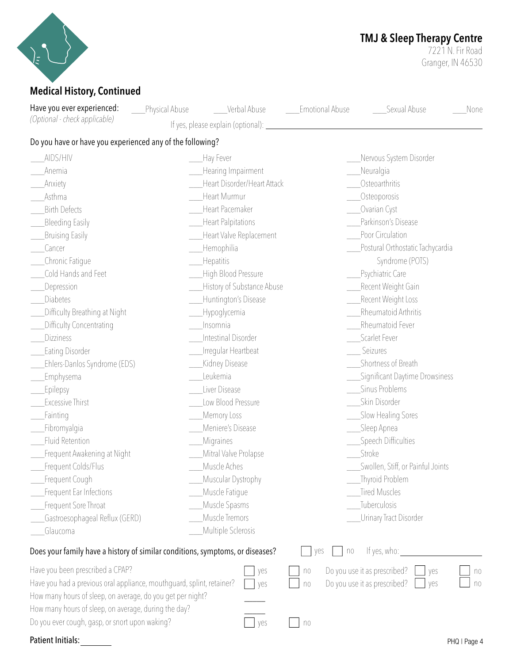

## **TMJ & Sleep Therapy Centre**

7221 N. Fir Road Granger, IN 46530

#### **Medical History, Continued**

 $\overline{\phantom{a}}$  $\overline{\phantom{a}}$ Do you have or have you experienced any of the following? \_\_\_AIDS/HIV \_\_\_Anemia \_\_Anxiety \_\_\_Asthma \_\_\_Birth Defects Bleeding Easily \_\_\_Bruising Easily \_\_\_Cancer \_\_\_Chronic Fatigue \_\_\_Cold Hands and Feet \_\_\_Depression \_\_\_Diabetes \_\_\_Difficulty Breathing at Night \_\_\_Difficulty Concentrating Dizziness \_\_\_Eating Disorder \_\_\_Ehlers-Danlos Syndrome (EDS) \_\_\_Emphysema \_\_\_Epilepsy \_\_\_Excessive Thirst \_\_\_Fainting \_\_\_Fibromyalgia \_\_\_Fluid Retention \_\_\_Frequent Awakening at Night **Frequent Colds/Flus** \_\_\_Frequent Cough **Frequent Ear Infections** \_\_\_Frequent Sore Throat \_\_\_Gastroesophageal Reflux (GERD) \_\_\_Glaucoma \_\_\_Hay Fever \_\_\_Hearing Impairment \_\_\_Heart Disorder/Heart Attack \_\_\_Heart Murmur \_\_\_Heart Pacemaker \_\_\_Heart Palpitations \_\_\_Heart Valve Replacement \_\_\_Hemophilia \_\_\_Hepatitis \_\_\_High Blood Pressure \_\_\_History of Substance Abuse \_\_\_Huntington's Disease \_\_\_Hypoglycemia \_\_\_Insomnia \_\_\_Intestinal Disorder \_\_\_Irregular Heartbeat \_\_\_Kidney Disease \_\_\_Leukemia \_\_\_Liver Disease Low Blood Pressure \_\_\_Memory Loss \_\_\_Meniere's Disease \_\_\_Migraines \_\_\_Mitral Valve Prolapse \_\_\_Muscle Aches \_\_\_Muscular Dystrophy \_\_\_Muscle Fatigue \_\_\_Muscle Spasms \_\_\_Muscle Tremors \_\_\_Multiple Sclerosis \_\_\_Nervous System Disorder \_\_\_Neuralgia \_\_\_Osteoarthritis \_\_\_Osteoporosis \_\_\_Ovarian Cyst \_\_\_Parkinson's Disease Poor Circulation \_\_\_Postural Orthostatic Tachycardia Syndrome (POTS) Psychiatric Care Recent Weight Gain \_\_\_\_Recent Weight Loss \_\_\_Rheumatoid Arthritis \_\_\_Rheumatoid Fever \_\_\_Scarlet Fever **Seizures** \_\_\_Shortness of Breath \_\_\_Significant Daytime Drowsiness \_\_\_Sinus Problems \_\_\_Skin Disorder \_\_\_Slow Healing Sores \_\_\_Sleep Apnea \_\_\_Speech Difficulties \_\_\_Stroke \_\_\_Swollen, Stiff, or Painful Joints \_\_\_Thyroid Problem Tired Muscles \_\_\_Tuberculosis \_\_\_Urinary Tract Disorder Does your family have a history of similar conditions, symptoms, or diseases?  $\Box$  yes  $\Box$  no Have you been prescribed a CPAP? Have you had a previous oral appliance, mouthguard, splint, retainer? How many hours of sleep, on average, do you get per night? How many hours of sleep, on average, during the day? yes no Do you use it as prescribed? U yes U no lyes llno Have you ever experienced: *(Optional - check applicable)* Physical Abuse blood Verbal Abuse Lemotional Abuse 2011 Sexual Abuse 2012 yes no If yes, please explain (optional): If yes, who: Do you use it as prescribed?

 $\sqrt{1 + 1}$  no

Do you ever cough, gasp, or snort upon waking?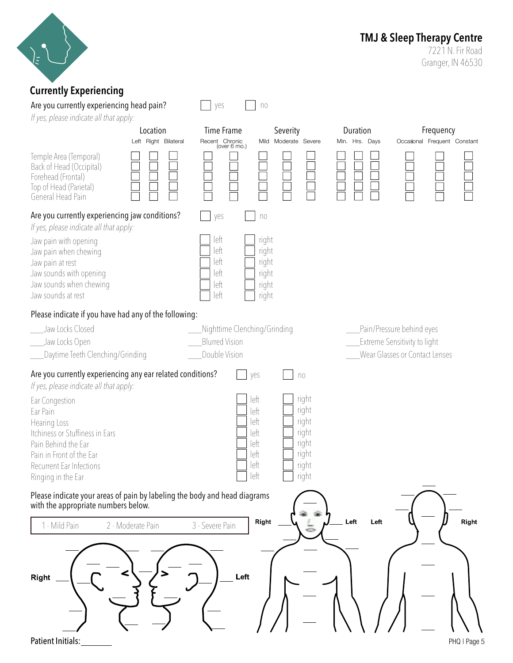

### **TMJ & Sleep Therapy Centre**

7221 N. Fir Road Granger, IN 46530

#### **Currently Experiencing** Are you currently experiencing head pain?  $\Box$  yes  $\Box$  no *If yes, please indicate all that apply:* Location Time Frame Severity Duration Frequency Left Right Bilateral Recent Chronic Mild Moderate Severe Min. Hrs. Days Occasional Frequent Constant (over 6 mo.) Temple Area (Temporal) Back of Head (Occipital) Forehead (Frontal) Top of Head (Parietal) General Head Pain Are you currently experiencing jaw conditions? yes no *If yes, please indicate all that apply:*  $left$   $right$  right Jaw pain with opening  $left$   $\Box$  right Jaw pain when chewing  $left$   $\Box$  right Jaw pain at rest  $left$   $right$  right Jaw sounds with opening Jaw sounds when chewing  $left$   $right$  right Jaw sounds at rest  $left$   $right$  right Please indicate if you have had any of the following: \_\_\_Jaw Locks Closed \_\_\_Nighttime Clenching/Grinding \_\_\_Pain/Pressure behind eyes \_\_\_Blurred Vision Extreme Sensitivity to light Jaw Locks Open Daytime Teeth Clenching/Grinding Double Vision Wear Glasses or Contact Lenses Are you currently experiencing any ear related conditions?  $\Box$  yes  $\Box$  no *If yes, please indicate all that apply:*  $left$   $|$   $|$  right Ear Congestion  $left$   $right$  right Ear Pain left | right Hearing Loss Itchiness or Stuffiness in Ears  $\begin{array}{ccc} \text{left} & \begin{array}{|c|c|c|}\end{array} & \text{right} \\ \text{left} & \begin{array}{|c|c|c|}\end{array} & \text{right} \end{array}$ Pain Behind the Ear right Pain in Front of the Ear left | right Recurrent Ear Infections  $left$   $\Box$  right  $left$   $right$  right Ringing in the Ear Please indicate your areas of pain by labeling the body and head diagrams with the appropriate numbers below. Right Left Left Right 1 - Mild Pain 2 - Moderate Pain 3 - Severe Pain Left Right

Patient Initials:

PHQ | Page 5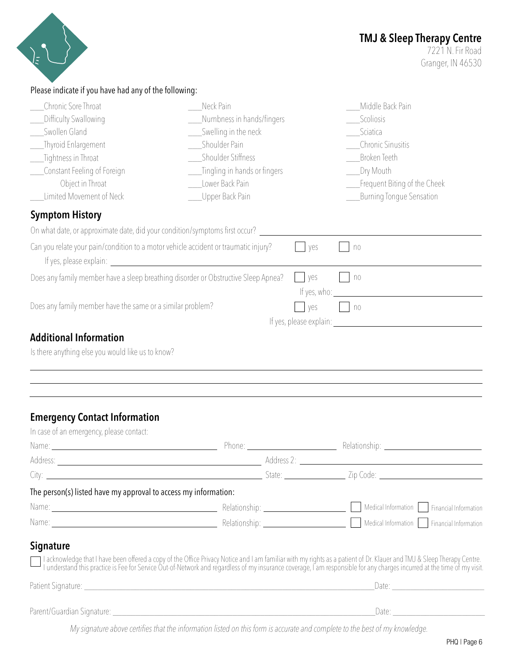|                                                                                                                                                                                                                                                                                                                             |                                                                                                                                                                             |     | <b>TMJ &amp; Sleep Therapy Centre</b><br>7221 N. Fir Road<br>Granger, IN 46530                                                                                                                                                    |
|-----------------------------------------------------------------------------------------------------------------------------------------------------------------------------------------------------------------------------------------------------------------------------------------------------------------------------|-----------------------------------------------------------------------------------------------------------------------------------------------------------------------------|-----|-----------------------------------------------------------------------------------------------------------------------------------------------------------------------------------------------------------------------------------|
| Please indicate if you have had any of the following:                                                                                                                                                                                                                                                                       |                                                                                                                                                                             |     |                                                                                                                                                                                                                                   |
| Chronic Sore Throat<br>Difficulty Swallowing<br>Swollen Gland<br>Thyroid Enlargement<br>Tightness in Throat<br>Constant Feeling of Foreign<br>Object in Throat<br>Limited Movement of Neck                                                                                                                                  | Neck Pain<br>Numbness in hands/fingers<br>Swelling in the neck<br>Shoulder Pain<br>Shoulder Stiffness<br>Tingling in hands or fingers<br>Lower Back Pain<br>Upper Back Pain |     | Middle Back Pain<br>Scoliosis<br>Sciatica<br><b>Chronic Sinusitis</b><br><b>Broken Teeth</b><br>Dry Mouth<br>Frequent Biting of the Cheek<br>Burning Tongue Sensation                                                             |
| <b>Symptom History</b>                                                                                                                                                                                                                                                                                                      |                                                                                                                                                                             |     |                                                                                                                                                                                                                                   |
| On what date, or approximate date, did your condition/symptoms first occur?                                                                                                                                                                                                                                                 |                                                                                                                                                                             |     |                                                                                                                                                                                                                                   |
| Can you relate your pain/condition to a motor vehicle accident or traumatic injury?<br>If yes, please explain: <u>contract the set of the set of the set of the set of the set of the set of the set of the set of the set of the set of the set of the set of the set of the set of the set of the set of the set of t</u> |                                                                                                                                                                             | yes | n <sub>0</sub>                                                                                                                                                                                                                    |
| Does any family member have a sleep breathing disorder or Obstructive Sleep Apnea?                                                                                                                                                                                                                                          |                                                                                                                                                                             | yes | n <sub>0</sub><br>If $yes, who:$                                                                                                                                                                                                  |
| Does any family member have the same or a similar problem?                                                                                                                                                                                                                                                                  |                                                                                                                                                                             | yes | n <sub>0</sub><br>If yes, please explain: If yes, please explain:                                                                                                                                                                 |
| <b>Additional Information</b><br>Is there anything else you would like us to know?                                                                                                                                                                                                                                          |                                                                                                                                                                             |     |                                                                                                                                                                                                                                   |
| <b>Emergency Contact Information</b><br>In case of an emergency, please contact:                                                                                                                                                                                                                                            |                                                                                                                                                                             |     |                                                                                                                                                                                                                                   |
|                                                                                                                                                                                                                                                                                                                             |                                                                                                                                                                             |     | Name: Name: Name: Relationship: 2000 Manual Communication of the Communication of the Phone: 2001 Manual Communication of Relationship: 2001 Manual Communication of the Communication of the Communication of the Communicati    |
|                                                                                                                                                                                                                                                                                                                             |                                                                                                                                                                             |     | City: 2ip Code: 2010 212 2ip Code: 212 2ip Code: 212 2ip Code: 212 2ip Code: 212 2ip Code: 212 2ip Code: 212 2ip Code: 212 2ip Code: 212 2ip Code: 212 2ip Code: 212 2ip Code: 212 2ip Code: 212 2ip Code: 212 2ip Code: 212 2    |
| The person(s) listed have my approval to access my information:                                                                                                                                                                                                                                                             |                                                                                                                                                                             |     |                                                                                                                                                                                                                                   |
|                                                                                                                                                                                                                                                                                                                             |                                                                                                                                                                             |     | Name: Mame: Mame: Melationship: Melationship: Medical Information Strangial Information Strangial Information                                                                                                                     |
|                                                                                                                                                                                                                                                                                                                             |                                                                                                                                                                             |     | Name: Mame: Mame: Medical Information Medical Information Medical Information Medical Information Medical Information                                                                                                             |
| <b>Signature</b>                                                                                                                                                                                                                                                                                                            |                                                                                                                                                                             |     | I acknowledge that I have been offered a copy of the Office Privacy Notice and I am familiar with my rights as a patient of Dr. Klauer and TMJ & Sleep Therapy Centre.<br>I understand this practice is Fee for Service Out-of-Ne |
|                                                                                                                                                                                                                                                                                                                             |                                                                                                                                                                             |     |                                                                                                                                                                                                                                   |
|                                                                                                                                                                                                                                                                                                                             |                                                                                                                                                                             |     |                                                                                                                                                                                                                                   |

*My signature above certifies that the information listed on this form is accurate and complete to the best of my knowledge.*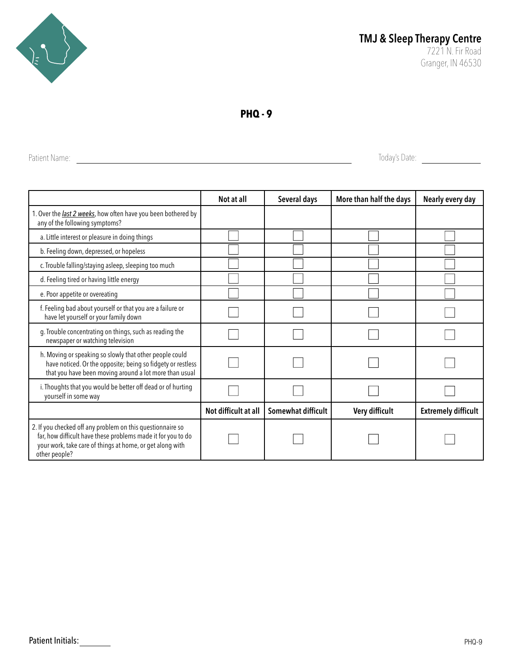

**PHQ - 9**

Patient Name: <u>and the contract of the contract of the contract of the contract of the contract of the contract of the contract of the contract of the contract of the contract of the contract of the contract of the contrac</u>

|                                                                                                                                                                                                          | Not at all           | Several days       | More than half the days | Nearly every day           |
|----------------------------------------------------------------------------------------------------------------------------------------------------------------------------------------------------------|----------------------|--------------------|-------------------------|----------------------------|
| 1. Over the <i>last 2 weeks</i> , how often have you been bothered by<br>any of the following symptoms?                                                                                                  |                      |                    |                         |                            |
| a. Little interest or pleasure in doing things                                                                                                                                                           |                      |                    |                         |                            |
| b. Feeling down, depressed, or hopeless                                                                                                                                                                  |                      |                    |                         |                            |
| c. Trouble falling/staying asleep, sleeping too much                                                                                                                                                     |                      |                    |                         |                            |
| d. Feeling tired or having little energy                                                                                                                                                                 |                      |                    |                         |                            |
| e. Poor appetite or overeating                                                                                                                                                                           |                      |                    |                         |                            |
| f. Feeling bad about yourself or that you are a failure or<br>have let yourself or your family down                                                                                                      |                      |                    |                         |                            |
| g. Trouble concentrating on things, such as reading the<br>newspaper or watching television                                                                                                              |                      |                    |                         |                            |
| h. Moving or speaking so slowly that other people could<br>have noticed. Or the opposite; being so fidgety or restless<br>that you have been moving around a lot more than usual                         |                      |                    |                         |                            |
| i. Thoughts that you would be better off dead or of hurting<br>yourself in some way                                                                                                                      |                      |                    |                         |                            |
|                                                                                                                                                                                                          | Not difficult at all | Somewhat difficult | Very difficult          | <b>Extremely difficult</b> |
| 2. If you checked off any problem on this questionnaire so<br>far, how difficult have these problems made it for you to do<br>your work, take care of things at home, or get along with<br>other people? |                      |                    |                         |                            |